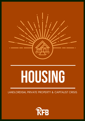

# **HOUSING**

LANDLORDISM, PRIVATE PROPERTY & CAPITALIST CRISIS

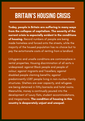#### **BRITAIN'S HOUSING CRISIS**

Today, people in Britain are suffering in many ways from the collapse of capitalism. The severity of the current crisis is especially evident in the conditions of housing. Record numbers of people are being made homeless and forced onto the streets, while the majority of the housed population has no choice but to pay the extortionate costs of renting from a landlord.

Unhygienic and unsafe conditions are commonplace in rental properties. Housing discrimination of all sorts is widespread: against Black people and people of colour; against migrants and Travellers; against disabled people claiming benefits; against predominantly LGBT people living in non-nuclear family structures. Shelters are over capacity, and refugees are being detained in filthy barracks and hotel rooms. Meanwhile, money is continually poured into the development of luxury flats, student accommodations, and megaprisons. The condition of housing in this country is desperately unjust and unequal.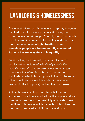#### **LANDLORDS & HOMELESSNESS**

Some might think that the economic disparity between landlords and the unhoused means that they are separate, unrelated groups. After all, there is not much social interaction between the wealthy and the poor, the haves and have-nots. But landlords and homeless people are fundamentally connected through the same system of inequality.

Because they own property and control who can legally reside on it, landlords literally create the conditions by which some people are tenants and others are homeless. Tenants must pay rent to landlords in order to have a place to live. By the same token, landlords can evict tenants (or deny them tenancy in the first place), making them homeless.

Although laws exist to protect tenants from the extremes of predatory landlordism, the capitalist state rarely enforces them. The possibility of homelessness functions as leverage which forces tenants to tolerate their own barefaced exploitation by landlords.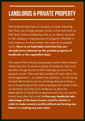#### **LANDLORDS & PRIVATE PROPERTY**

The landlord class has a monopoly on land, meaning that they can charge people money to live and work on that land while contributing little or no labour towards to the upkeep or improvement of property. Whether in rural areas or in cities (where the majority of people work), there is no habitable land that has not already been claimed as the private property of landlords or the capitalist state.

This means that working class people cannot freely choose where they live. To secure a place of residence, they must sacrifice a huge portion of their earnings as rent to the property owner. They must also comply with any rules in the rental agreement — no matter how arbitrary — or risk being evicted. Restrictions such as not being allowed to keep a pet or hang things on the walls emphasise the worker ' s lack of autonomy over their own residence, as does the dependence on landlords to approve and carry out repairs (which they often fail to do). In this way, landlords take advantage of the basic human need for shelter in order to make massive profits without performing any labour or creating any new value.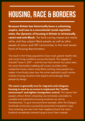## **HOUSING, RACE & BORDERS**

Because Britain has historically been a colonising empire, and now is a neocolonial racial capitalist state, the dynamic of housing in Britain is intrinsically racist and anti-Black. The land-owning classes are mainly white, and they subject Black people, as well as other people of colour and GRT communities, to the most severe forms of housing discrimination.

The result is that these populations face much greater health risks and worse living conditions across the board. The tragedy of Grenfell Tower in 2017 — and the fact that almost four years later, the same flammable cladding still covers countless other residential towers where many Black working class people live makes it horrifically clear how the white capitalist's profit motive creates housing situations that exploit and endanger Black people by design.

The same is generally true for migrants and refugees: housing is used as an arena to implement the "hostile environment" and tighten immigration control. This means that people without British citizenship are extremely vulnerable to unstable and exploitative housing situations as well as homelessness. To give one prominent example, after the Glasgow Southside community successfully prevented immigration cops from arresting two men from their neighbourhood, the men's landlord immediately started trying to evict them instead.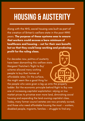## **HOUSING & AUSTERITY**

Along with the NHS, social housing was built as part of the creation of Britain ' s welfare state in the post-WWII years. The purpose of these systems was to ensure that workers could access a bare minimum of healthcare and housing — not for their own benefit, but so that they could keep working and producing profit for the ruling class.

For decades now, politics of austerity have been dismantling this welfare state. Margaret Thatcher ' s 'Right to Buy ' scheme allowed many working people to buy their homes at affordable rates. On the surface, this might seem like a good thing for

the people who were given a leg up onto the property ladder. But the economic principle behind Right to Buy was one of increasing capitalist exploitation: relying on low market prices to privatise even more land, diminishing social housing and expanding the land-owning capitalist class. Today, many former council estates are now privately owned, and those who need affordable housing the most — workers, disabled people, migrants, families — struggle to find any.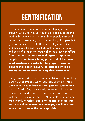### **GENTRIFICATION**

Gentrification is the process of redeveloping cheap property which has typically been devalued because it is lived on by economically marginalised populations, such as people of colour, migrants, and working class people in general. Redevelopment attracts wealthy new residents and displaces the original inhabitants by raising the rent and costs of living in the area higher than they can afford. Gentrification means that working and oppressed people are continually being priced out of their own neighbourhoods in order for the property-owning class to make profits. Every increase in rent is an attempt to eradicate a working class community.

Today, property developers are gentrifying land in working class neighbourhoods everywhere across Britain — from Camden to Soho to Manchester ' s Northern Quarter, from Leith to Cardiff Bay. Many newly constructed luxury flats continue to stand empty because no one can afford to rent them — least of all the 1 in 200 people in Britain who are currently homeless. But to the capitalist state, it is better to collect council tax on empty dwellings than to use them to solve the housing crisis.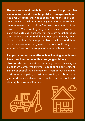Green spaces and public infrastructure, like parks, also come under threat from the profit-driven approach to housing. Although green spaces are vital to the health of communities, they do not generally produce profit, so they become vulnerable to "infilling " — being completely built and paved over. While wealthy neighbourhoods have private parks and botanical gardens, working class neighbourhoods are stripped of nature and denied access to the very land. Under capitalism, it' s more profitable to build on land than leave it undeveloped, so green spaces are continually whittled away, even as we plunge deeper into climate crisis.

The profit motive even affects how housing is built, and therefore, how communities are geographically structured. In a planned economy, high-density housing can be built efficiently with minimal impact on the environment. But under capitalism, development is carried out piecemeal by different competing investors — resulting in urban sprawl, greater distance between communities, and constant land clearing for new construction.



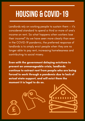# **HOUSING & COVID-19**

Landlords rely on working people to sustain them — it' s considered standard to spend a third or more of one ' s income on rent. So what happens when workers lose their income? As we have seen more clearly than ever in the COVID-19 pandemic, the preferred response of landlords is to simply evict people when they are no longer able to pay rent, increasing homelessness and contributing to social misery.

Even with the government delaying evictions to prevent an unmanageable crisis, landlords continue to extract rent from people who are being forced to work through a pandemic due to lack of actual state support, and will evict them the moment it is legal to do so.

0000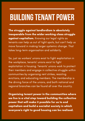# **BUILDING TENANT POWER**

The struggle against landlordism is absolutely inseparable from the wider working class struggle against capitalism. Knowing our legal rights as tenants can help us out of tight spots, but can 't help us move forward in making larger systemic change. That takes long-term organisation and solidarity.

So, just as workers ' unions exist to fight exploitation in the workplace, tenants ' unions exist to fight exploitation in housing. Tenants ' unions work to protect their members and engage in collective struggle within communities by organising rent strikes, resisting evictions, and educating members. The membership is the driving force of the unions, and both national and regional branches can be found all over the country.

Organising tenant power in the communities where we live is a vital step toward building the collective power that will make it possible for us to end capitalism and build a socialist society in which everyone 's right to good housing can be realised.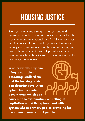## **HOUSINGJUSTICE**

Even with the united strength of all working and oppressed people, ending the housing crisis will not be a simple or one-dimensional task. To fully achieve just and fair housing for all people, we must also achieve racial justice, reparations, the abolition of prisons and police, the abolition of citizenship — all institutional changes which the British state, an inherently capitalist system, will never allow.

In other words, only one thing is capable of defeating landlordism and the housing crisis: a proletarian revolution, upheld by a socialist government, which can carry out the systematic dismantling of capitalism — and its replacement with a system whose primary goal is providing for the common needs of all people.